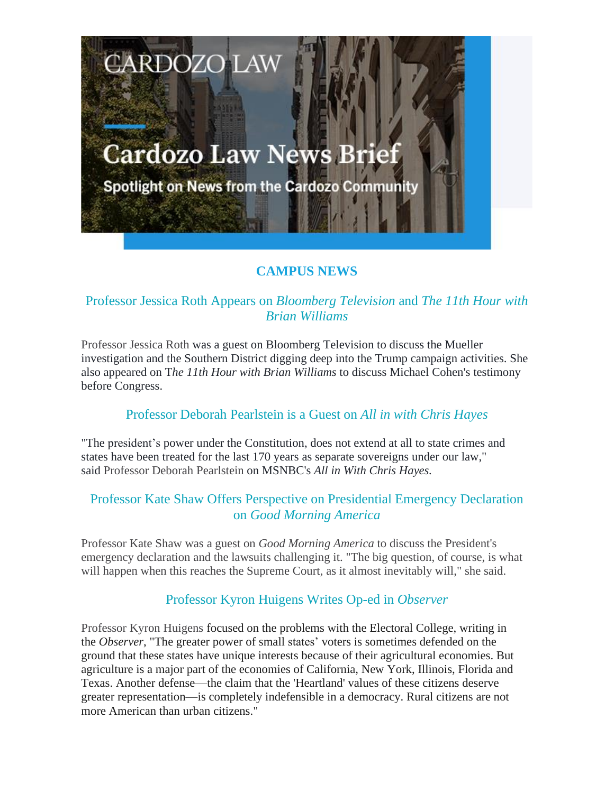# **Cardozo Law News Brief**

**CARDOZO LAW** 

Spotlight on News from the Cardozo Community

# **CAMPUS NEWS**

# Professor Jessica Roth Appears on *Bloomberg Television* and *The 11th Hour with Brian Williams*

Professor Jessica Roth was a guest on Bloomberg Television to discuss the Mueller investigation and the Southern District digging deep into the Trump campaign activities. She also appeared on T*he 11th Hour with Brian Williams* to discuss Michael Cohen's testimony before Congress.

#### Professor Deborah Pearlstein is a Guest on *All in with Chris Hayes*

"The president's power under the Constitution, does not extend at all to state crimes and states have been treated for the last 170 years as separate sovereigns under our law," said Professor Deborah Pearlstein on MSNBC's *All in With Chris Hayes.*

## Professor Kate Shaw Offers Perspective on Presidential Emergency Declaration on *Good Morning America*

Professor Kate Shaw was a guest on *Good Morning America* to discuss the President's emergency declaration and the lawsuits challenging it. "The big question, of course, is what will happen when this reaches the Supreme Court, as it almost inevitably will," she said.

# Professor Kyron Huigens Writes Op-ed in *Observer*

Professor Kyron Huigens focused on the problems with the Electoral College, writing in the *Observer*, "The greater power of small states' voters is sometimes defended on the ground that these states have unique interests because of their agricultural economies. But agriculture is a major part of the economies of California, New York, Illinois, Florida and Texas. Another defense—the claim that the 'Heartland' values of these citizens deserve greater representation—is completely indefensible in a democracy. Rural citizens are not more American than urban citizens."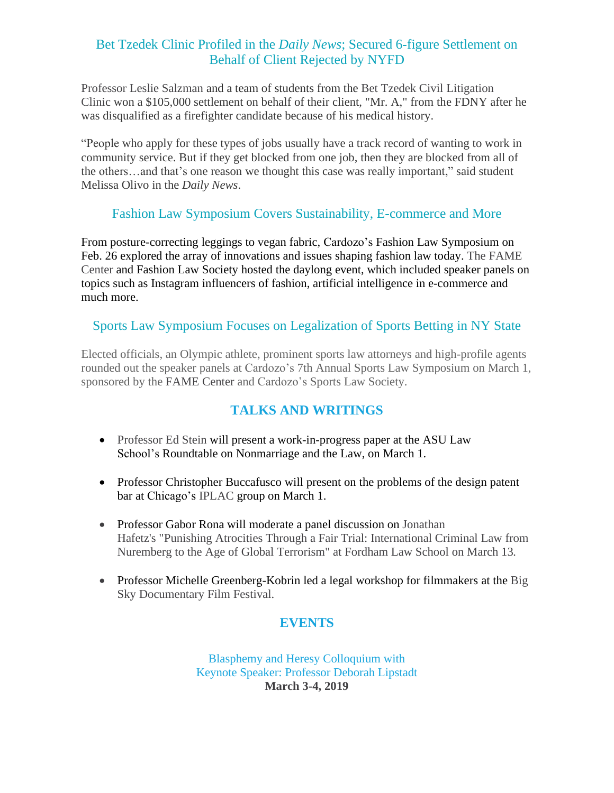# Bet Tzedek Clinic Profiled in the *Daily News*; Secured 6-figure Settlement on Behalf of Client Rejected by NYFD

Professor Leslie Salzman and a team of students from the Bet Tzedek Civil Litigation Clinic won a \$105,000 settlement on behalf of their client, "Mr. A," from the FDNY after he was disqualified as a firefighter candidate because of his medical history.

"People who apply for these types of jobs usually have a track record of wanting to work in community service. But if they get blocked from one job, then they are blocked from all of the others…and that's one reason we thought this case was really important," said student Melissa Olivo in the *Daily News*.

## Fashion Law Symposium Covers Sustainability, E-commerce and More

From posture-correcting leggings to vegan fabric, Cardozo's Fashion Law Symposium on Feb. 26 explored the array of innovations and issues shaping fashion law today. The FAME Center and Fashion Law Society hosted the daylong event, which included speaker panels on topics such as Instagram influencers of fashion, artificial intelligence in e-commerce and much more.

#### Sports Law Symposium Focuses on Legalization of Sports Betting in NY State

Elected officials, an Olympic athlete, prominent sports law attorneys and high-profile agents rounded out the speaker panels at Cardozo's 7th Annual Sports Law Symposium on March 1, sponsored by the FAME Center and Cardozo's Sports Law Society.

# **TALKS AND WRITINGS**

- Professor Ed Stein will present a work-in-progress paper at the ASU Law School's Roundtable on Nonmarriage and the Law, on March 1.
- Professor Christopher Buccafusco will present on the problems of the design patent bar at Chicago's IPLAC group on March 1.
- Professor Gabor Rona will moderate a panel discussion on Jonathan Hafetz's "Punishing Atrocities Through a Fair Trial: International Criminal Law from Nuremberg to the Age of Global Terrorism" at Fordham Law School on March 13*.*
- Professor Michelle Greenberg-Kobrin led a legal workshop for filmmakers at the Big Sky Documentary Film Festival.

# **EVENTS**

Blasphemy and Heresy Colloquium with Keynote Speaker: Professor Deborah Lipstadt **March 3-4, 2019**